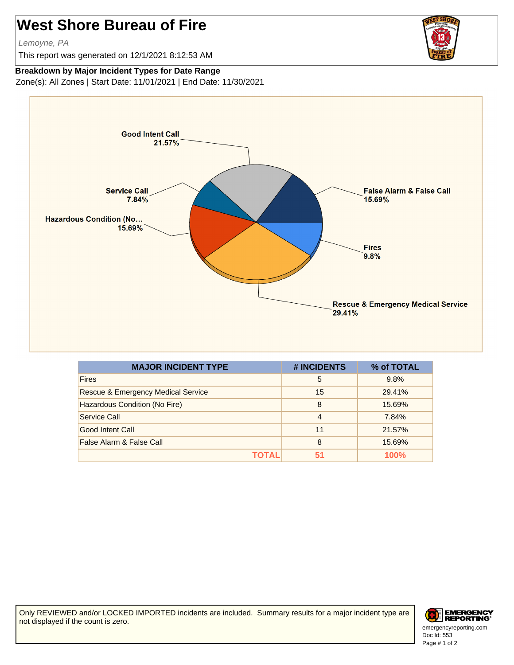## **West Shore Bureau of Fire**

Lemoyne, PA

This report was generated on 12/1/2021 8:12:53 AM



## **Breakdown by Major Incident Types for Date Range**

Zone(s): All Zones | Start Date: 11/01/2021 | End Date: 11/30/2021



| <b>MAJOR INCIDENT TYPE</b>                    | # INCIDENTS | % of TOTAL |
|-----------------------------------------------|-------------|------------|
| <b>Fires</b>                                  | 5           | 9.8%       |
| <b>Rescue &amp; Emergency Medical Service</b> | 15          | 29.41%     |
| Hazardous Condition (No Fire)                 | 8           | 15.69%     |
| Service Call                                  | 4           | 7.84%      |
| Good Intent Call                              | 11          | 21.57%     |
| False Alarm & False Call                      | 8           | 15.69%     |
| ΤΟΤΑL                                         | 51          | 100%       |

Only REVIEWED and/or LOCKED IMPORTED incidents are included. Summary results for a major incident type are not displayed if the count is zero.



Doc Id: 553

Page # 1 of 2